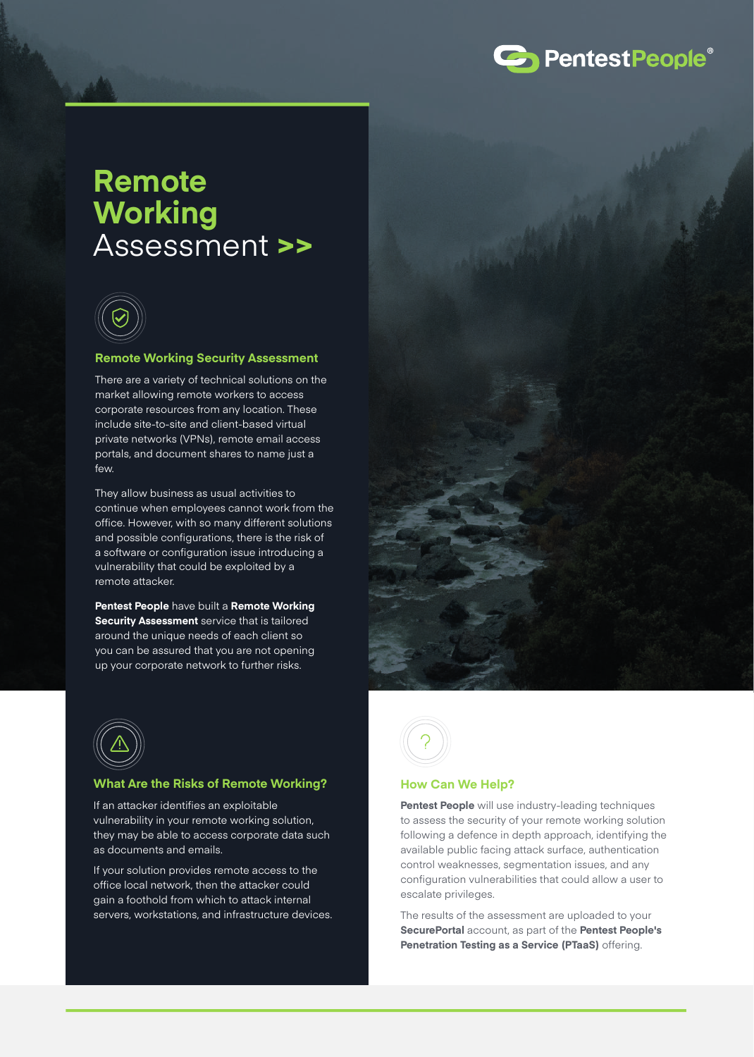

# **Remote Working** Assessment **>>**



#### **Remote Working Security Assessment**

There are a variety of technical solutions on the market allowing remote workers to access corporate resources from any location. These include site-to-site and client-based virtual private networks (VPNs), remote email access portals, and document shares to name just a few.

They allow business as usual activities to continue when employees cannot work from the office. However, with so many different solutions and possible configurations, there is the risk of a software or configuration issue introducing a vulnerability that could be exploited by a remote attacker.

**Pentest People** have built a **Remote Working Security Assessment** service that is tailored around the unique needs of each client so you can be assured that you are not opening up your corporate network to further risks.





# **What Are the Risks of Remote Working?**

If an attacker identifies an exploitable vulnerability in your remote working solution, they may be able to access corporate data such as documents and emails.

If your solution provides remote access to the office local network, then the attacker could gain a foothold from which to attack internal servers, workstations, and infrastructure devices.



#### **How Can We Help?**

**Pentest People** will use industry-leading techniques to assess the security of your remote working solution following a defence in depth approach, identifying the available public facing attack surface, authentication control weaknesses, segmentation issues, and any configuration vulnerabilities that could allow a user to escalate privileges.

The results of the assessment are uploaded to your **SecurePortal** account, as part of the **Pentest People's Penetration Testing as a Service (PTaaS)** offering.